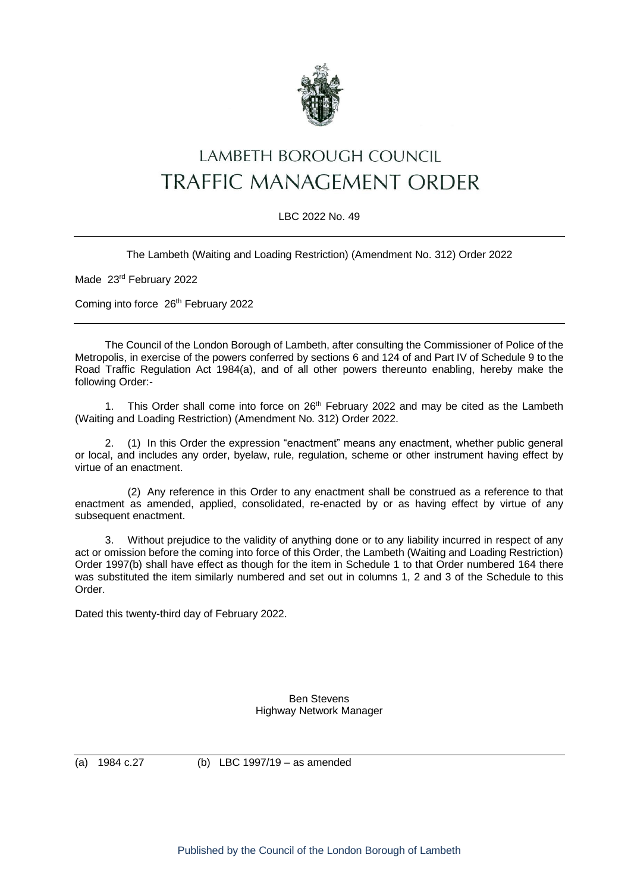

## LAMBETH BOROUGH COUNCIL **TRAFFIC MANAGEMENT ORDER**

## LBC 2022 No. 49

The Lambeth (Waiting and Loading Restriction) (Amendment No. 312) Order 2022

Made 23rd February 2022

Coming into force 26<sup>th</sup> February 2022

The Council of the London Borough of Lambeth, after consulting the Commissioner of Police of the Metropolis, in exercise of the powers conferred by sections 6 and 124 of and Part IV of Schedule 9 to the Road Traffic Regulation Act 1984(a), and of all other powers thereunto enabling, hereby make the following Order:-

1. This Order shall come into force on 26<sup>th</sup> February 2022 and may be cited as the Lambeth (Waiting and Loading Restriction) (Amendment No. 312) Order 2022.

2. (1) In this Order the expression "enactment" means any enactment, whether public general or local, and includes any order, byelaw, rule, regulation, scheme or other instrument having effect by virtue of an enactment.

(2) Any reference in this Order to any enactment shall be construed as a reference to that enactment as amended, applied, consolidated, re-enacted by or as having effect by virtue of any subsequent enactment.

3. Without prejudice to the validity of anything done or to any liability incurred in respect of any act or omission before the coming into force of this Order, the Lambeth (Waiting and Loading Restriction) Order 1997(b) shall have effect as though for the item in Schedule 1 to that Order numbered 164 there was substituted the item similarly numbered and set out in columns 1, 2 and 3 of the Schedule to this Order.

Dated this twenty-third day of February 2022.

Ben Stevens Highway Network Manager

(a) 1984 c.27 (b) LBC 1997/19 – as amended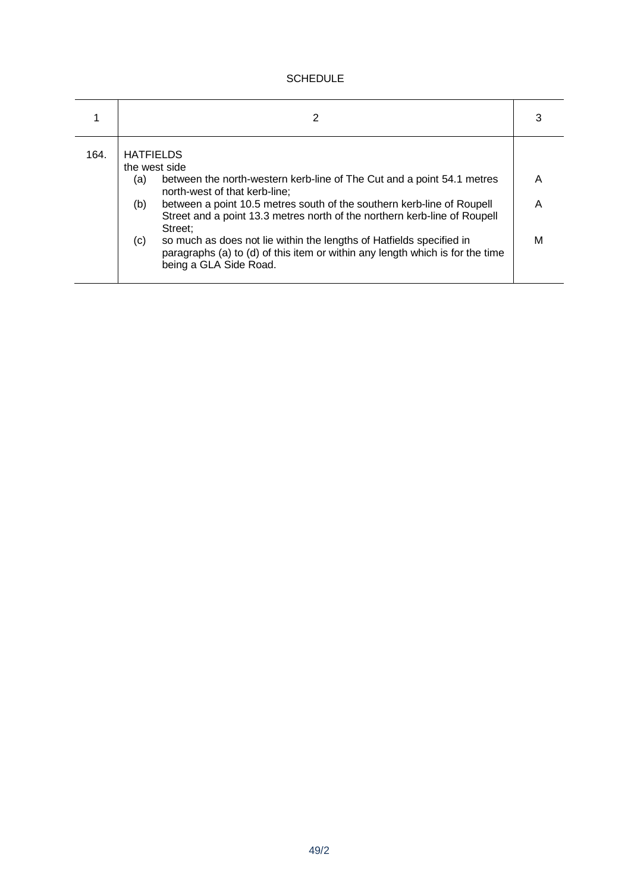## **SCHEDULE**

|      | 2                                                                                                                                                                                                                                                                                                                                                                                                                                                                                                                      | 3           |
|------|------------------------------------------------------------------------------------------------------------------------------------------------------------------------------------------------------------------------------------------------------------------------------------------------------------------------------------------------------------------------------------------------------------------------------------------------------------------------------------------------------------------------|-------------|
| 164. | <b>HATFIELDS</b><br>the west side<br>between the north-western kerb-line of The Cut and a point 54.1 metres<br>(a)<br>north-west of that kerb-line;<br>between a point 10.5 metres south of the southern kerb-line of Roupell<br>(b)<br>Street and a point 13.3 metres north of the northern kerb-line of Roupell<br>Street:<br>so much as does not lie within the lengths of Hatfields specified in<br>(c)<br>paragraphs (a) to (d) of this item or within any length which is for the time<br>being a GLA Side Road. | Α<br>Α<br>м |